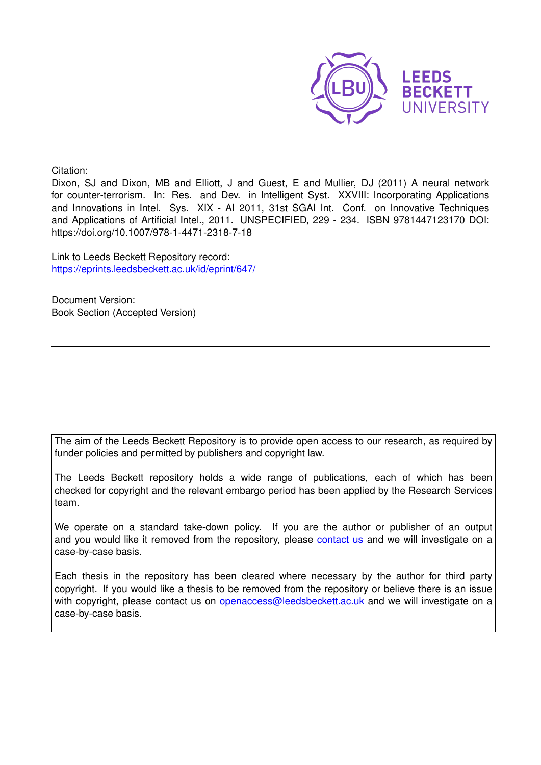

Citation:

Dixon, SJ and Dixon, MB and Elliott, J and Guest, E and Mullier, DJ (2011) A neural network for counter-terrorism. In: Res. and Dev. in Intelligent Syst. XXVIII: Incorporating Applications and Innovations in Intel. Sys. XIX - AI 2011, 31st SGAI Int. Conf. on Innovative Techniques and Applications of Artificial Intel., 2011. UNSPECIFIED, 229 - 234. ISBN 9781447123170 DOI: https://doi.org/10.1007/978-1-4471-2318-7-18

Link to Leeds Beckett Repository record: <https://eprints.leedsbeckett.ac.uk/id/eprint/647/>

Document Version: Book Section (Accepted Version)

The aim of the Leeds Beckett Repository is to provide open access to our research, as required by funder policies and permitted by publishers and copyright law.

The Leeds Beckett repository holds a wide range of publications, each of which has been checked for copyright and the relevant embargo period has been applied by the Research Services team.

We operate on a standard take-down policy. If you are the author or publisher of an output and you would like it removed from the repository, please [contact us](mailto:openaccess@leedsbeckett.ac.uk) and we will investigate on a case-by-case basis.

Each thesis in the repository has been cleared where necessary by the author for third party copyright. If you would like a thesis to be removed from the repository or believe there is an issue with copyright, please contact us on [openaccess@leedsbeckett.ac.uk](mailto:openaccess@leedsbeckett.ac.uk) and we will investigate on a case-by-case basis.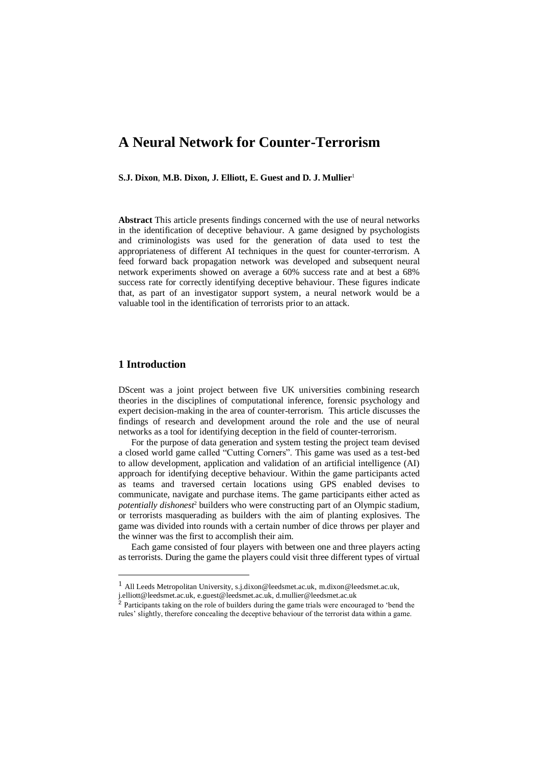# **A Neural Network for Counter-Terrorism**

**S.J. Dixon**, **M.B. Dixon, J. Elliott, E. Guest and D. J. Mullier**<sup>1</sup>

**Abstract** This article presents findings concerned with the use of neural networks in the identification of deceptive behaviour. A game designed by psychologists and criminologists was used for the generation of data used to test the appropriateness of different AI techniques in the quest for counter-terrorism. A feed forward back propagation network was developed and subsequent neural network experiments showed on average a 60% success rate and at best a 68% success rate for correctly identifying deceptive behaviour. These figures indicate that, as part of an investigator support system, a neural network would be a valuable tool in the identification of terrorists prior to an attack.

### **1 Introduction**

1

DScent was a joint project between five UK universities combining research theories in the disciplines of computational inference, forensic psychology and expert decision-making in the area of counter-terrorism. This article discusses the findings of research and development around the role and the use of neural networks as a tool for identifying deception in the field of counter-terrorism.

For the purpose of data generation and system testing the project team devised a closed world game called "Cutting Corners". This game was used as a test-bed to allow development, application and validation of an artificial intelligence (AI) approach for identifying deceptive behaviour. Within the game participants acted as teams and traversed certain locations using GPS enabled devises to communicate, navigate and purchase items. The game participants either acted as *potentially dishonest*<sup>2</sup> builders who were constructing part of an Olympic stadium, or terrorists masquerading as builders with the aim of planting explosives. The game was divided into rounds with a certain number of dice throws per player and the winner was the first to accomplish their aim.

Each game consisted of four players with between one and three players acting as terrorists. During the game the players could visit three different types of virtual

<sup>1</sup> All Leeds Metropolitan University, s.j.dixon@leedsmet.ac.uk, m.dixon@leedsmet.ac.uk,

j.elliott@leedsmet.ac.uk, e.guest@leedsmet.ac.uk, d.mullier@leedsmet.ac.uk

<sup>&</sup>lt;sup>2</sup> Participants taking on the role of builders during the game trials were encouraged to 'bend the rules" slightly, therefore concealing the deceptive behaviour of the terrorist data within a game.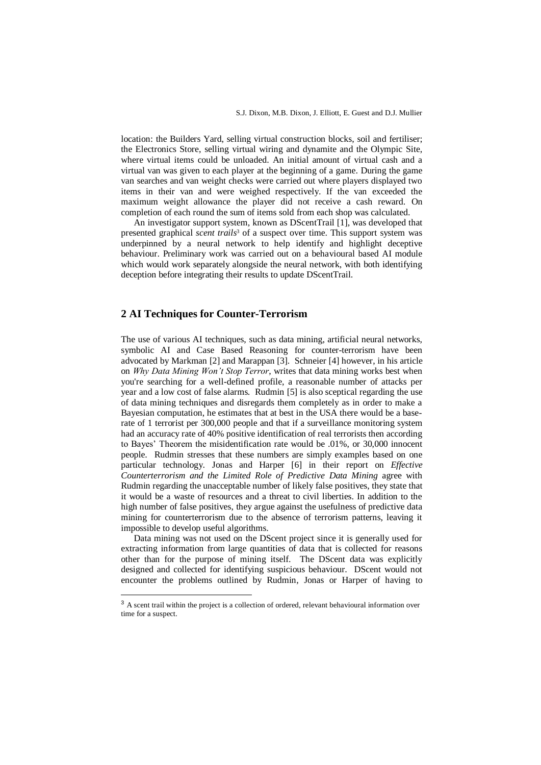location: the Builders Yard, selling virtual construction blocks, soil and fertiliser; the Electronics Store, selling virtual wiring and dynamite and the Olympic Site, where virtual items could be unloaded. An initial amount of virtual cash and a virtual van was given to each player at the beginning of a game. During the game van searches and van weight checks were carried out where players displayed two items in their van and were weighed respectively. If the van exceeded the maximum weight allowance the player did not receive a cash reward. On completion of each round the sum of items sold from each shop was calculated.

An investigator support system, known as DScentTrail [1], was developed that presented graphical *scent trails*<sup>3</sup> of a suspect over time. This support system was underpinned by a neural network to help identify and highlight deceptive behaviour. Preliminary work was carried out on a behavioural based AI module which would work separately alongside the neural network, with both identifying deception before integrating their results to update DScentTrail.

## **2 AI Techniques for Counter-Terrorism**

 $\overline{a}$ 

The use of various AI techniques, such as data mining, artificial neural networks, symbolic AI and Case Based Reasoning for counter-terrorism have been advocated by Markman [2] and Marappan [3]. Schneier [4] however, in his article on *Why Data Mining Won't Stop Terror*, writes that data mining works best when you're searching for a well-defined profile, a reasonable number of attacks per year and a low cost of false alarms. Rudmin [5] is also sceptical regarding the use of data mining techniques and disregards them completely as in order to make a Bayesian computation, he estimates that at best in the USA there would be a baserate of 1 terrorist per 300,000 people and that if a surveillance monitoring system had an accuracy rate of 40% positive identification of real terrorists then according to Bayes" Theorem the misidentification rate would be .01%, or 30,000 innocent people. Rudmin stresses that these numbers are simply examples based on one particular technology. Jonas and Harper [6] in their report on *Effective Counterterrorism and the Limited Role of Predictive Data Mining* agree with Rudmin regarding the unacceptable number of likely false positives, they state that it would be a waste of resources and a threat to civil liberties. In addition to the high number of false positives, they argue against the usefulness of predictive data mining for counterterrorism due to the absence of terrorism patterns, leaving it impossible to develop useful algorithms.

Data mining was not used on the DScent project since it is generally used for extracting information from large quantities of data that is collected for reasons other than for the purpose of mining itself. The DScent data was explicitly designed and collected for identifying suspicious behaviour. DScent would not encounter the problems outlined by Rudmin, Jonas or Harper of having to

<sup>&</sup>lt;sup>3</sup> A scent trail within the project is a collection of ordered, relevant behavioural information over time for a suspect.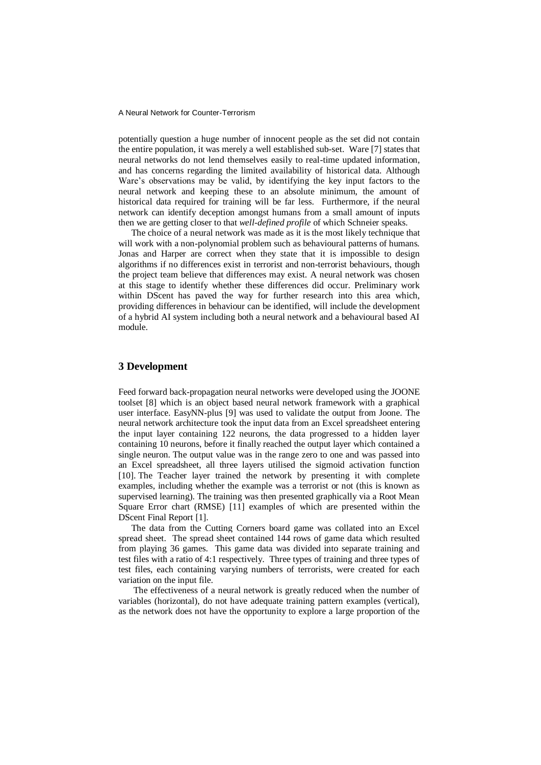A Neural Network for Counter-Terrorism

potentially question a huge number of innocent people as the set did not contain the entire population, it was merely a well established sub-set. Ware [7] states that neural networks do not lend themselves easily to real-time updated information, and has concerns regarding the limited availability of historical data. Although Ware"s observations may be valid, by identifying the key input factors to the neural network and keeping these to an absolute minimum, the amount of historical data required for training will be far less. Furthermore, if the neural network can identify deception amongst humans from a small amount of inputs then we are getting closer to that *well-defined profile* of which Schneier speaks.

The choice of a neural network was made as it is the most likely technique that will work with a non-polynomial problem such as behavioural patterns of humans. Jonas and Harper are correct when they state that it is impossible to design algorithms if no differences exist in terrorist and non-terrorist behaviours, though the project team believe that differences may exist. A neural network was chosen at this stage to identify whether these differences did occur. Preliminary work within DScent has paved the way for further research into this area which, providing differences in behaviour can be identified, will include the development of a hybrid AI system including both a neural network and a behavioural based AI module.

#### **3 Development**

Feed forward back-propagation neural networks were developed using the JOONE toolset [8] which is an object based neural network framework with a graphical user interface. EasyNN-plus [9] was used to validate the output from Joone. The neural network architecture took the input data from an Excel spreadsheet entering the input layer containing 122 neurons, the data progressed to a hidden layer containing 10 neurons, before it finally reached the output layer which contained a single neuron. The output value was in the range zero to one and was passed into an Excel spreadsheet, all three layers utilised the sigmoid activation function [10]. The Teacher layer trained the network by presenting it with complete examples, including whether the example was a terrorist or not (this is known as supervised learning). The training was then presented graphically via a Root Mean Square Error chart (RMSE) [11] examples of which are presented within the DScent Final Report [1].

The data from the Cutting Corners board game was collated into an Excel spread sheet. The spread sheet contained 144 rows of game data which resulted from playing 36 games. This game data was divided into separate training and test files with a ratio of 4:1 respectively. Three types of training and three types of test files, each containing varying numbers of terrorists, were created for each variation on the input file.

The effectiveness of a neural network is greatly reduced when the number of variables (horizontal), do not have adequate training pattern examples (vertical), as the network does not have the opportunity to explore a large proportion of the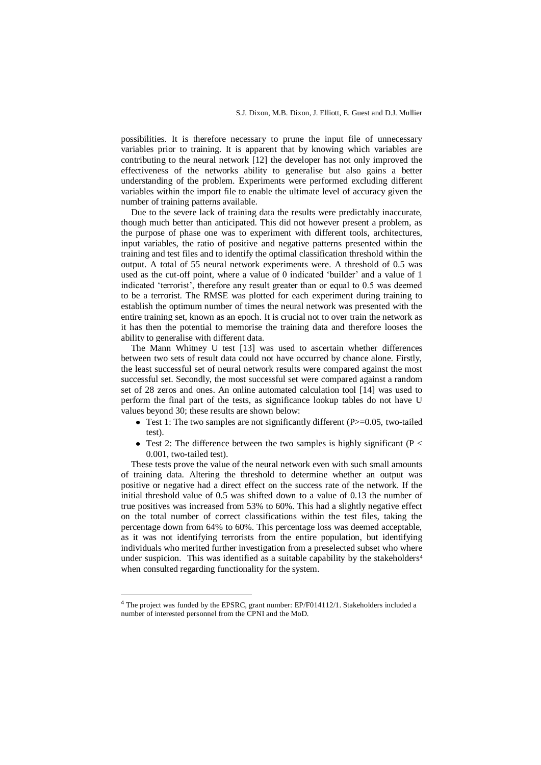possibilities. It is therefore necessary to prune the input file of unnecessary variables prior to training. It is apparent that by knowing which variables are contributing to the neural network [12] the developer has not only improved the effectiveness of the networks ability to generalise but also gains a better understanding of the problem. Experiments were performed excluding different variables within the import file to enable the ultimate level of accuracy given the number of training patterns available.

Due to the severe lack of training data the results were predictably inaccurate, though much better than anticipated. This did not however present a problem, as the purpose of phase one was to experiment with different tools, architectures, input variables, the ratio of positive and negative patterns presented within the training and test files and to identify the optimal classification threshold within the output. A total of 55 neural network experiments were. A threshold of 0.5 was used as the cut-off point, where a value of 0 indicated 'builder' and a value of 1 indicated 'terrorist', therefore any result greater than or equal to 0.5 was deemed to be a terrorist. The RMSE was plotted for each experiment during training to establish the optimum number of times the neural network was presented with the entire training set, known as an epoch*.* It is crucial not to over train the network as it has then the potential to memorise the training data and therefore looses the ability to generalise with different data.

The Mann Whitney U test [13] was used to ascertain whether differences between two sets of result data could not have occurred by chance alone. Firstly, the least successful set of neural network results were compared against the most successful set. Secondly, the most successful set were compared against a random set of 28 zeros and ones. An online automated calculation tool [14] was used to perform the final part of the tests, as significance lookup tables do not have U values beyond 30; these results are shown below:

- Test 1: The two samples are not significantly different (P>=0.05, two-tailed test).
- Test 2: The difference between the two samples is highly significant ( $P <$ 0.001, two-tailed test).

These tests prove the value of the neural network even with such small amounts of training data. Altering the threshold to determine whether an output was positive or negative had a direct effect on the success rate of the network. If the initial threshold value of 0.5 was shifted down to a value of 0.13 the number of true positives was increased from 53% to 60%. This had a slightly negative effect on the total number of correct classifications within the test files, taking the percentage down from 64% to 60%. This percentage loss was deemed acceptable, as it was not identifying terrorists from the entire population, but identifying individuals who merited further investigation from a preselected subset who where under suspicion. This was identified as a suitable capability by the stakeholders<sup>4</sup> when consulted regarding functionality for the system.

 $\overline{a}$ 

<sup>4</sup> The project was funded by the EPSRC, grant number: EP/F014112/1. Stakeholders included a number of interested personnel from the CPNI and the MoD.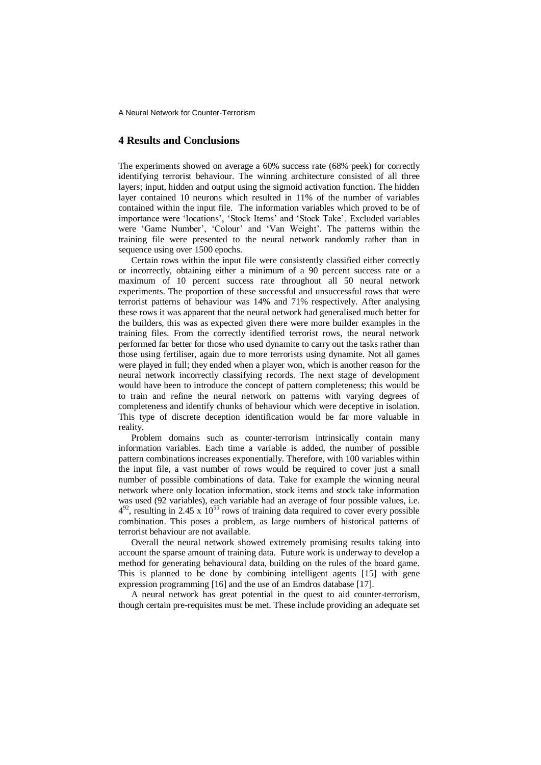A Neural Network for Counter-Terrorism

#### **4 Results and Conclusions**

The experiments showed on average a 60% success rate (68% peek) for correctly identifying terrorist behaviour. The winning architecture consisted of all three layers; input, hidden and output using the sigmoid activation function. The hidden layer contained 10 neurons which resulted in 11% of the number of variables contained within the input file. The information variables which proved to be of importance were "locations", "Stock Items" and "Stock Take". Excluded variables were 'Game Number', 'Colour' and 'Van Weight'. The patterns within the training file were presented to the neural network randomly rather than in sequence using over 1500 epochs.

Certain rows within the input file were consistently classified either correctly or incorrectly, obtaining either a minimum of a 90 percent success rate or a maximum of 10 percent success rate throughout all 50 neural network experiments. The proportion of these successful and unsuccessful rows that were terrorist patterns of behaviour was 14% and 71% respectively. After analysing these rows it was apparent that the neural network had generalised much better for the builders, this was as expected given there were more builder examples in the training files. From the correctly identified terrorist rows, the neural network performed far better for those who used dynamite to carry out the tasks rather than those using fertiliser, again due to more terrorists using dynamite. Not all games were played in full; they ended when a player won, which is another reason for the neural network incorrectly classifying records. The next stage of development would have been to introduce the concept of pattern completeness; this would be to train and refine the neural network on patterns with varying degrees of completeness and identify chunks of behaviour which were deceptive in isolation. This type of discrete deception identification would be far more valuable in reality.

Problem domains such as counter-terrorism intrinsically contain many information variables. Each time a variable is added, the number of possible pattern combinations increases exponentially. Therefore, with 100 variables within the input file, a vast number of rows would be required to cover just a small number of possible combinations of data. Take for example the winning neural network where only location information, stock items and stock take information was used (92 variables), each variable had an average of four possible values, i.e.  $4^{92}$ , resulting in 2.45 x  $10^{55}$  rows of training data required to cover every possible combination. This poses a problem, as large numbers of historical patterns of terrorist behaviour are not available.

Overall the neural network showed extremely promising results taking into account the sparse amount of training data. Future work is underway to develop a method for generating behavioural data, building on the rules of the board game. This is planned to be done by combining intelligent agents [15] with gene expression programming [16] and the use of an Emdros database [17].

A neural network has great potential in the quest to aid counter-terrorism, though certain pre-requisites must be met. These include providing an adequate set